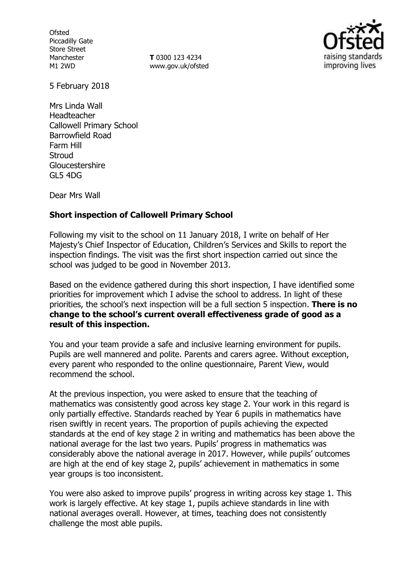**Ofsted** Piccadilly Gate Store Street Manchester M1 2WD

**T** 0300 123 4234 www.gov.uk/ofsted



5 February 2018

Mrs Linda Wall Headteacher Callowell Primary School Barrowfield Road Farm Hill **Stroud** Gloucestershire GL5 4DG

Dear Mrs Wall

## **Short inspection of Callowell Primary School**

Following my visit to the school on 11 January 2018, I write on behalf of Her Majesty's Chief Inspector of Education, Children's Services and Skills to report the inspection findings. The visit was the first short inspection carried out since the school was judged to be good in November 2013.

Based on the evidence gathered during this short inspection, I have identified some priorities for improvement which I advise the school to address. In light of these priorities, the school's next inspection will be a full section 5 inspection. **There is no change to the school's current overall effectiveness grade of good as a result of this inspection.**

You and your team provide a safe and inclusive learning environment for pupils. Pupils are well mannered and polite. Parents and carers agree. Without exception, every parent who responded to the online questionnaire, Parent View, would recommend the school.

At the previous inspection, you were asked to ensure that the teaching of mathematics was consistently good across key stage 2. Your work in this regard is only partially effective. Standards reached by Year 6 pupils in mathematics have risen swiftly in recent years. The proportion of pupils achieving the expected standards at the end of key stage 2 in writing and mathematics has been above the national average for the last two years. Pupils' progress in mathematics was considerably above the national average in 2017. However, while pupils' outcomes are high at the end of key stage 2, pupils' achievement in mathematics in some year groups is too inconsistent.

You were also asked to improve pupils' progress in writing across key stage 1. This work is largely effective. At key stage 1, pupils achieve standards in line with national averages overall. However, at times, teaching does not consistently challenge the most able pupils.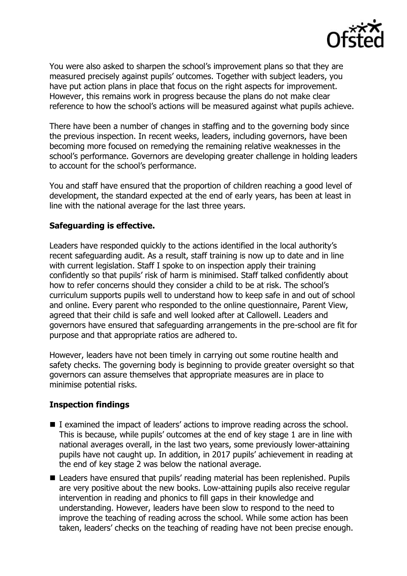

You were also asked to sharpen the school's improvement plans so that they are measured precisely against pupils' outcomes. Together with subject leaders, you have put action plans in place that focus on the right aspects for improvement. However, this remains work in progress because the plans do not make clear reference to how the school's actions will be measured against what pupils achieve.

There have been a number of changes in staffing and to the governing body since the previous inspection. In recent weeks, leaders, including governors, have been becoming more focused on remedying the remaining relative weaknesses in the school's performance. Governors are developing greater challenge in holding leaders to account for the school's performance.

You and staff have ensured that the proportion of children reaching a good level of development, the standard expected at the end of early years, has been at least in line with the national average for the last three years.

## **Safeguarding is effective.**

Leaders have responded quickly to the actions identified in the local authority's recent safeguarding audit. As a result, staff training is now up to date and in line with current legislation. Staff I spoke to on inspection apply their training confidently so that pupils' risk of harm is minimised. Staff talked confidently about how to refer concerns should they consider a child to be at risk. The school's curriculum supports pupils well to understand how to keep safe in and out of school and online. Every parent who responded to the online questionnaire, Parent View, agreed that their child is safe and well looked after at Callowell. Leaders and governors have ensured that safeguarding arrangements in the pre-school are fit for purpose and that appropriate ratios are adhered to.

However, leaders have not been timely in carrying out some routine health and safety checks. The governing body is beginning to provide greater oversight so that governors can assure themselves that appropriate measures are in place to minimise potential risks.

## **Inspection findings**

- I examined the impact of leaders' actions to improve reading across the school. This is because, while pupils' outcomes at the end of key stage 1 are in line with national averages overall, in the last two years, some previously lower-attaining pupils have not caught up. In addition, in 2017 pupils' achievement in reading at the end of key stage 2 was below the national average.
- Leaders have ensured that pupils' reading material has been replenished. Pupils are very positive about the new books. Low-attaining pupils also receive regular intervention in reading and phonics to fill gaps in their knowledge and understanding. However, leaders have been slow to respond to the need to improve the teaching of reading across the school. While some action has been taken, leaders' checks on the teaching of reading have not been precise enough.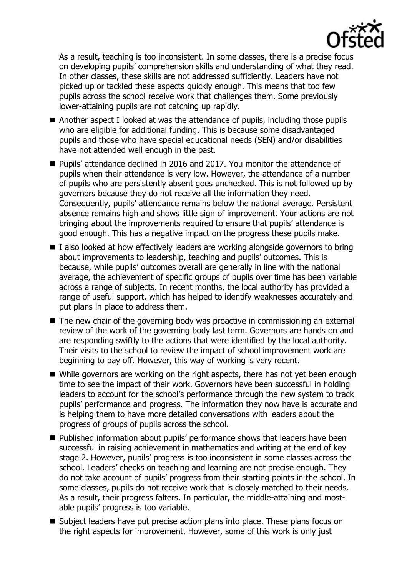

As a result, teaching is too inconsistent. In some classes, there is a precise focus on developing pupils' comprehension skills and understanding of what they read. In other classes, these skills are not addressed sufficiently. Leaders have not picked up or tackled these aspects quickly enough. This means that too few pupils across the school receive work that challenges them. Some previously lower-attaining pupils are not catching up rapidly.

- Another aspect I looked at was the attendance of pupils, including those pupils who are eligible for additional funding. This is because some disadvantaged pupils and those who have special educational needs (SEN) and/or disabilities have not attended well enough in the past.
- Pupils' attendance declined in 2016 and 2017. You monitor the attendance of pupils when their attendance is very low. However, the attendance of a number of pupils who are persistently absent goes unchecked. This is not followed up by governors because they do not receive all the information they need. Consequently, pupils' attendance remains below the national average. Persistent absence remains high and shows little sign of improvement. Your actions are not bringing about the improvements required to ensure that pupils' attendance is good enough. This has a negative impact on the progress these pupils make.
- $\blacksquare$  I also looked at how effectively leaders are working alongside governors to bring about improvements to leadership, teaching and pupils' outcomes. This is because, while pupils' outcomes overall are generally in line with the national average, the achievement of specific groups of pupils over time has been variable across a range of subjects. In recent months, the local authority has provided a range of useful support, which has helped to identify weaknesses accurately and put plans in place to address them.
- The new chair of the governing body was proactive in commissioning an external review of the work of the governing body last term. Governors are hands on and are responding swiftly to the actions that were identified by the local authority. Their visits to the school to review the impact of school improvement work are beginning to pay off. However, this way of working is very recent.
- While governors are working on the right aspects, there has not yet been enough time to see the impact of their work. Governors have been successful in holding leaders to account for the school's performance through the new system to track pupils' performance and progress. The information they now have is accurate and is helping them to have more detailed conversations with leaders about the progress of groups of pupils across the school.
- **Published information about pupils' performance shows that leaders have been** successful in raising achievement in mathematics and writing at the end of key stage 2. However, pupils' progress is too inconsistent in some classes across the school. Leaders' checks on teaching and learning are not precise enough. They do not take account of pupils' progress from their starting points in the school. In some classes, pupils do not receive work that is closely matched to their needs. As a result, their progress falters. In particular, the middle-attaining and mostable pupils' progress is too variable.
- Subject leaders have put precise action plans into place. These plans focus on the right aspects for improvement. However, some of this work is only just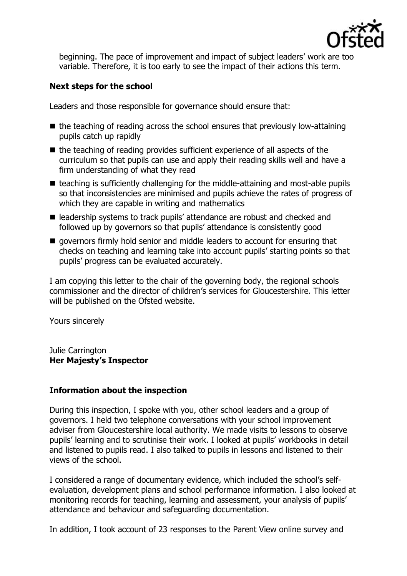

beginning. The pace of improvement and impact of subject leaders' work are too variable. Therefore, it is too early to see the impact of their actions this term.

# **Next steps for the school**

Leaders and those responsible for governance should ensure that:

- $\blacksquare$  the teaching of reading across the school ensures that previously low-attaining pupils catch up rapidly
- $\blacksquare$  the teaching of reading provides sufficient experience of all aspects of the curriculum so that pupils can use and apply their reading skills well and have a firm understanding of what they read
- $\blacksquare$  teaching is sufficiently challenging for the middle-attaining and most-able pupils so that inconsistencies are minimised and pupils achieve the rates of progress of which they are capable in writing and mathematics
- leadership systems to track pupils' attendance are robust and checked and followed up by governors so that pupils' attendance is consistently good
- qovernors firmly hold senior and middle leaders to account for ensuring that checks on teaching and learning take into account pupils' starting points so that pupils' progress can be evaluated accurately.

I am copying this letter to the chair of the governing body, the regional schools commissioner and the director of children's services for Gloucestershire. This letter will be published on the Ofsted website.

Yours sincerely

Julie Carrington **Her Majesty's Inspector**

## **Information about the inspection**

During this inspection, I spoke with you, other school leaders and a group of governors. I held two telephone conversations with your school improvement adviser from Gloucestershire local authority. We made visits to lessons to observe pupils' learning and to scrutinise their work. I looked at pupils' workbooks in detail and listened to pupils read. I also talked to pupils in lessons and listened to their views of the school.

I considered a range of documentary evidence, which included the school's selfevaluation, development plans and school performance information. I also looked at monitoring records for teaching, learning and assessment, your analysis of pupils' attendance and behaviour and safeguarding documentation.

In addition, I took account of 23 responses to the Parent View online survey and